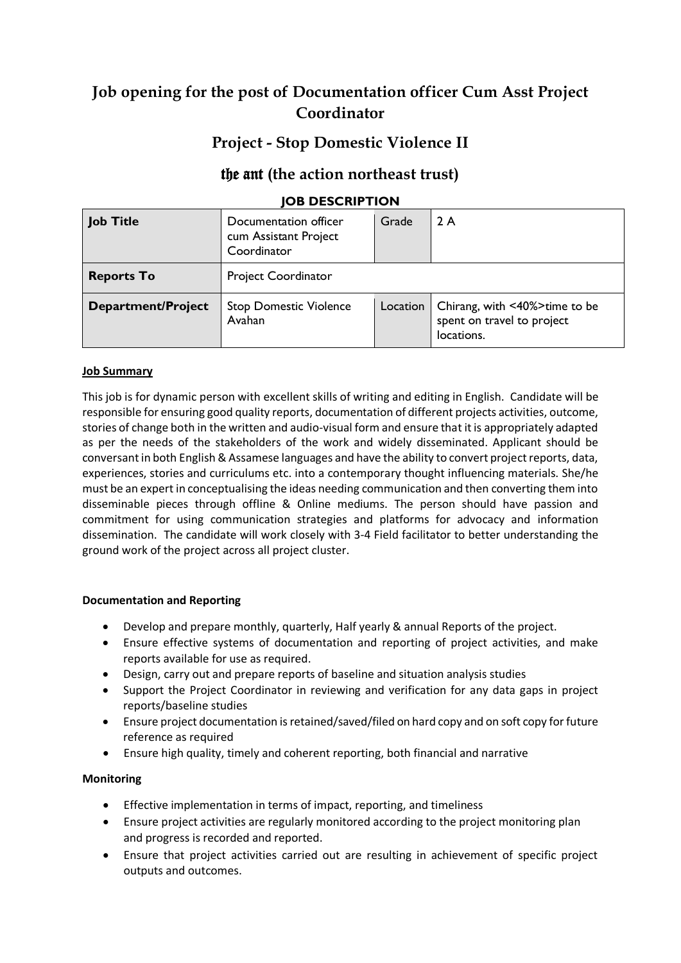# **Job opening for the post of Documentation officer Cum Asst Project Coordinator**

## **Project - Stop Domestic Violence II**

### the ant **(the action northeast trust)**

### **JOB DESCRIPTION**

| <b>Job Title</b>          | Documentation officer<br>cum Assistant Project<br>Coordinator | Grade    | 2 A                                                                       |
|---------------------------|---------------------------------------------------------------|----------|---------------------------------------------------------------------------|
| <b>Reports To</b>         | <b>Project Coordinator</b>                                    |          |                                                                           |
| <b>Department/Project</b> | <b>Stop Domestic Violence</b><br>Avahan                       | Location | Chirang, with <40%>time to be<br>spent on travel to project<br>locations. |

#### **Job Summary**

This job is for dynamic person with excellent skills of writing and editing in English. Candidate will be responsible for ensuring good quality reports, documentation of different projects activities, outcome, stories of change both in the written and audio-visual form and ensure that it is appropriately adapted as per the needs of the stakeholders of the work and widely disseminated. Applicant should be conversant in both English & Assamese languages and have the ability to convert project reports, data, experiences, stories and curriculums etc. into a contemporary thought influencing materials. She/he must be an expert in conceptualising the ideas needing communication and then converting them into disseminable pieces through offline & Online mediums. The person should have passion and commitment for using communication strategies and platforms for advocacy and information dissemination. The candidate will work closely with 3-4 Field facilitator to better understanding the ground work of the project across all project cluster.

#### **Documentation and Reporting**

- Develop and prepare monthly, quarterly, Half yearly & annual Reports of the project.
- Ensure effective systems of documentation and reporting of project activities, and make reports available for use as required.
- Design, carry out and prepare reports of baseline and situation analysis studies
- Support the Project Coordinator in reviewing and verification for any data gaps in project reports/baseline studies
- Ensure project documentation is retained/saved/filed on hard copy and on soft copy for future reference as required
- Ensure high quality, timely and coherent reporting, both financial and narrative

#### **Monitoring**

- Effective implementation in terms of impact, reporting, and timeliness
- Ensure project activities are regularly monitored according to the project monitoring plan and progress is recorded and reported.
- Ensure that project activities carried out are resulting in achievement of specific project outputs and outcomes.